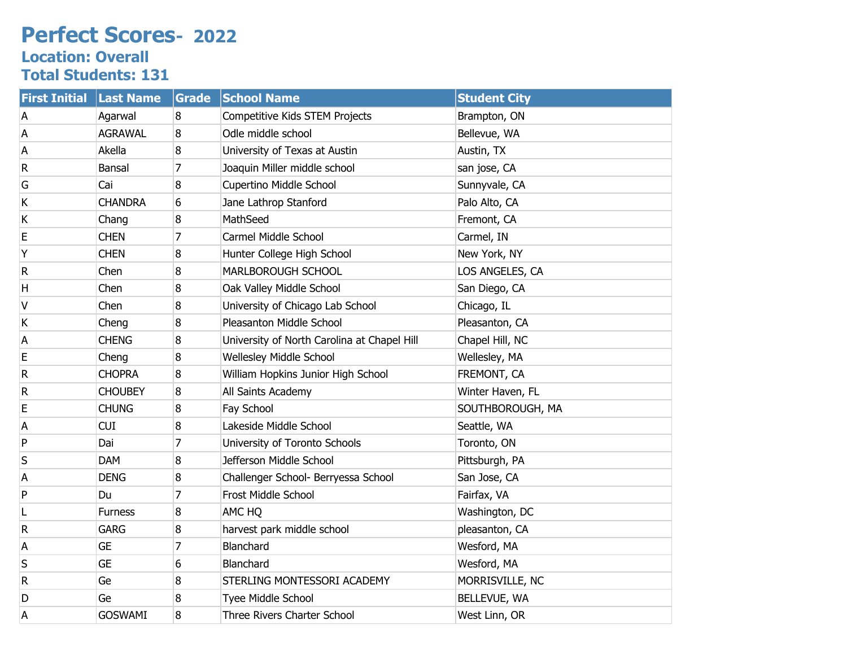## **Perfect Scores- 2022 Location: Overall**

**Total Students: 131**

| <b>First Initial</b> | <b>Last Name</b> | Grade          | <b>School Name</b>                          | <b>Student City</b> |
|----------------------|------------------|----------------|---------------------------------------------|---------------------|
| А                    | Agarwal          | 8              | Competitive Kids STEM Projects              | Brampton, ON        |
| А                    | <b>AGRAWAL</b>   | 8              | Odle middle school                          | Bellevue, WA        |
| А                    | Akella           | 8              | University of Texas at Austin               | Austin, TX          |
| R                    | Bansal           | 7              | Joaquin Miller middle school                | san jose, CA        |
| G                    | Cai              | 8              | Cupertino Middle School                     | Sunnyvale, CA       |
| Κ                    | <b>CHANDRA</b>   | 6              | Jane Lathrop Stanford                       | Palo Alto, CA       |
| Κ                    | Chang            | 8              | MathSeed                                    | Fremont, CA         |
| E                    | <b>CHEN</b>      | 7              | Carmel Middle School                        | Carmel, IN          |
| Υ                    | <b>CHEN</b>      | 8              | Hunter College High School                  | New York, NY        |
| R                    | Chen             | 8              | MARLBOROUGH SCHOOL                          | LOS ANGELES, CA     |
| Н                    | Chen             | 8              | Oak Valley Middle School                    | San Diego, CA       |
| ٧                    | Chen             | 8              | University of Chicago Lab School            | Chicago, IL         |
| Κ                    | Cheng            | 8              | Pleasanton Middle School                    | Pleasanton, CA      |
| A                    | <b>CHENG</b>     | 8              | University of North Carolina at Chapel Hill | Chapel Hill, NC     |
| Е                    | Cheng            | 8              | Wellesley Middle School                     | Wellesley, MA       |
| R                    | <b>CHOPRA</b>    | 8              | William Hopkins Junior High School          | FREMONT, CA         |
| R                    | <b>CHOUBEY</b>   | 8              | All Saints Academy                          | Winter Haven, FL    |
| E                    | <b>CHUNG</b>     | 8              | Fay School                                  | SOUTHBOROUGH, MA    |
| A                    | <b>CUI</b>       | 8              | Lakeside Middle School                      | Seattle, WA         |
| P                    | Dai              | 7              | University of Toronto Schools               | Toronto, ON         |
| S                    | <b>DAM</b>       | 8              | Jefferson Middle School                     | Pittsburgh, PA      |
| A                    | <b>DENG</b>      | 8              | Challenger School- Berryessa School         | San Jose, CA        |
| P                    | Du               | 7              | Frost Middle School                         | Fairfax, VA         |
| L                    | <b>Furness</b>   | 8              | AMC HQ                                      | Washington, DC      |
| R                    | <b>GARG</b>      | 8              | harvest park middle school                  | pleasanton, CA      |
| А                    | <b>GE</b>        | $\overline{7}$ | Blanchard                                   | Wesford, MA         |
| S                    | <b>GE</b>        | 6              | Blanchard                                   | Wesford, MA         |
| R                    | Ge               | 8              | STERLING MONTESSORI ACADEMY                 | MORRISVILLE, NC     |
| D                    | Ge               | 8              | Tyee Middle School                          | BELLEVUE, WA        |
| А                    | <b>GOSWAMI</b>   | 8              | Three Rivers Charter School                 | West Linn, OR       |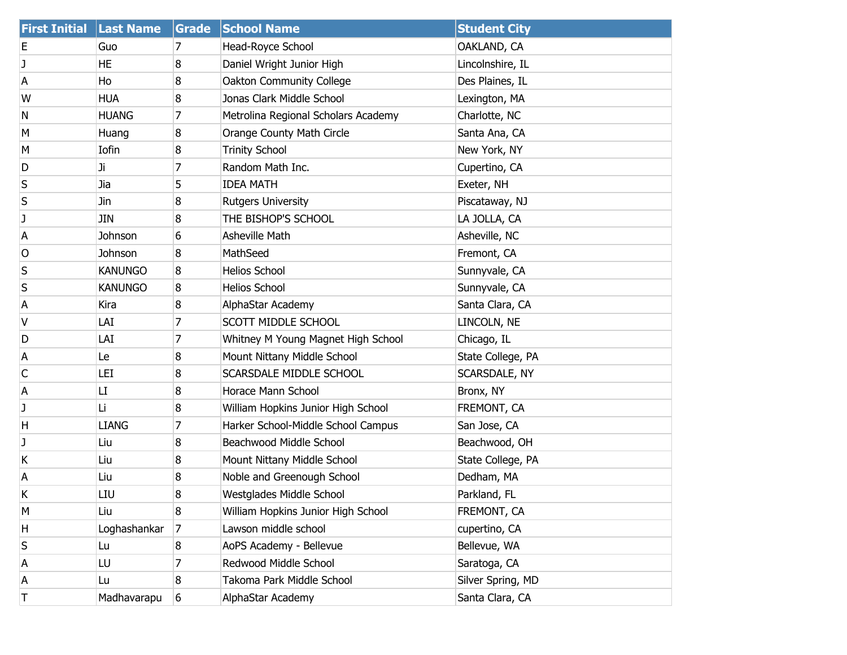| <b>First Initial Last Name</b> |                | Grade | <b>School Name</b>                  | <b>Student City</b> |
|--------------------------------|----------------|-------|-------------------------------------|---------------------|
| Ε                              | Guo            | 7     | Head-Royce School                   | OAKLAND, CA         |
| J                              | HE             | 8     | Daniel Wright Junior High           | Lincolnshire, IL    |
| А                              | Ho             | 8     | Oakton Community College            | Des Plaines, IL     |
| W                              | <b>HUA</b>     | 8     | Jonas Clark Middle School           | Lexington, MA       |
| N                              | <b>HUANG</b>   | 7     | Metrolina Regional Scholars Academy | Charlotte, NC       |
| м                              | Huang          | 8     | Orange County Math Circle           | Santa Ana, CA       |
| M                              | Iofin          | 8     | <b>Trinity School</b>               | New York, NY        |
| D                              | Ji             | 7     | Random Math Inc.                    | Cupertino, CA       |
| S                              | Jia            | 5     | <b>IDEA MATH</b>                    | Exeter, NH          |
| S                              | Jin            | 8     | <b>Rutgers University</b>           | Piscataway, NJ      |
| J                              | JIN            | 8     | THE BISHOP'S SCHOOL                 | LA JOLLA, CA        |
| Α                              | Johnson        | 6     | <b>Asheville Math</b>               | Asheville, NC       |
| O                              | Johnson        | 8     | MathSeed                            | Fremont, CA         |
| S                              | <b>KANUNGO</b> | 8     | <b>Helios School</b>                | Sunnyvale, CA       |
| S                              | <b>KANUNGO</b> | 8     | <b>Helios School</b>                | Sunnyvale, CA       |
| Α                              | Kira           | 8     | AlphaStar Academy                   | Santa Clara, CA     |
| V                              | LAI            | 7     | <b>SCOTT MIDDLE SCHOOL</b>          | LINCOLN, NE         |
| D                              | LAI            | 7     | Whitney M Young Magnet High School  | Chicago, IL         |
| А                              | Le             | 8     | Mount Nittany Middle School         | State College, PA   |
| С                              | LEI            | 8     | <b>SCARSDALE MIDDLE SCHOOL</b>      | SCARSDALE, NY       |
| A                              | LI             | 8     | Horace Mann School                  | Bronx, NY           |
| J                              | Li             | 8     | William Hopkins Junior High School  | FREMONT, CA         |
| H                              | <b>LIANG</b>   | 7     | Harker School-Middle School Campus  | San Jose, CA        |
| J                              | Liu            | 8     | Beachwood Middle School             | Beachwood, OH       |
| Κ                              | Liu            | 8     | Mount Nittany Middle School         | State College, PA   |
| Α                              | Liu            | 8     | Noble and Greenough School          | Dedham, MA          |
| Κ                              | LIU            | 8     | Westglades Middle School            | Parkland, FL        |
| M                              | Liu            | 8     | William Hopkins Junior High School  | FREMONT, CA         |
| Н                              | Loghashankar   | 7     | Lawson middle school                | cupertino, CA       |
| S                              | Lu             | 8     | AoPS Academy - Bellevue             | Bellevue, WA        |
| A                              | LU             | 7     | Redwood Middle School               | Saratoga, CA        |
| Α                              | Lu             | 8     | Takoma Park Middle School           | Silver Spring, MD   |
| Τ                              | Madhavarapu    | 6     | AlphaStar Academy                   | Santa Clara, CA     |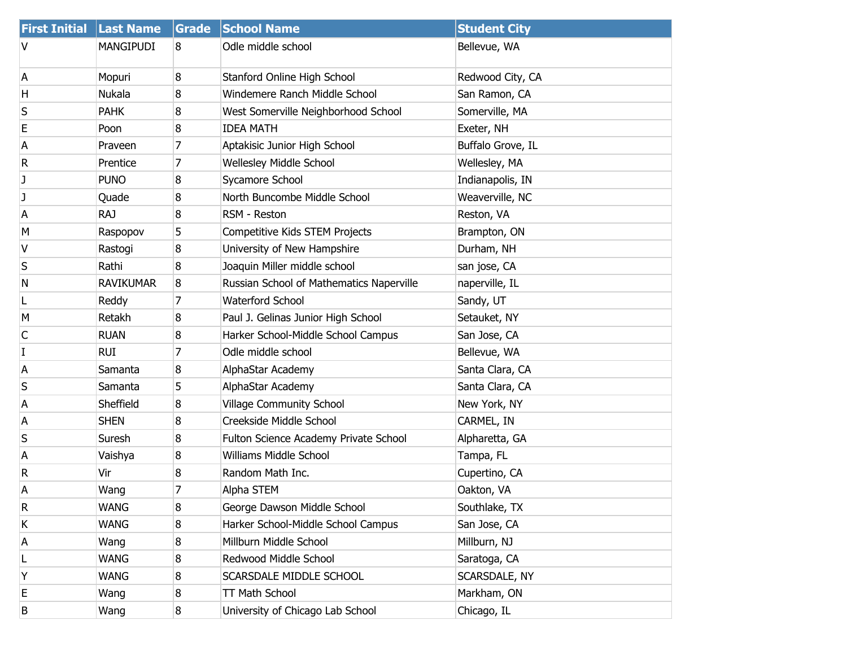| <b>First Initial Last Name</b> |                  | Grade | <b>School Name</b>                       | <b>Student City</b> |
|--------------------------------|------------------|-------|------------------------------------------|---------------------|
| v                              | <b>MANGIPUDI</b> | 8     | Odle middle school                       | Bellevue, WA        |
| А                              | Mopuri           | 8     | Stanford Online High School              | Redwood City, CA    |
| Н                              | Nukala           | 8     | Windemere Ranch Middle School            | San Ramon, CA       |
| S                              | <b>PAHK</b>      | 8     | West Somerville Neighborhood School      | Somerville, MA      |
| Е                              | Poon             | 8     | <b>IDEA MATH</b>                         | Exeter, NH          |
| А                              | Praveen          | 7     | Aptakisic Junior High School             | Buffalo Grove, IL   |
| R                              | Prentice         | 7     | <b>Wellesley Middle School</b>           | Wellesley, MA       |
| J                              | <b>PUNO</b>      | 8     | Sycamore School                          | Indianapolis, IN    |
| J                              | Quade            | 8     | North Buncombe Middle School             | Weaverville, NC     |
| А                              | <b>RAJ</b>       | 8     | RSM - Reston                             | Reston, VA          |
| M                              | Raspopov         | 5     | Competitive Kids STEM Projects           | Brampton, ON        |
| ۷                              | Rastogi          | 8     | University of New Hampshire              | Durham, NH          |
| S                              | Rathi            | 8     | Joaquin Miller middle school             | san jose, CA        |
| N                              | <b>RAVIKUMAR</b> | 8     | Russian School of Mathematics Naperville | naperville, IL      |
| L                              | Reddy            | 7     | <b>Waterford School</b>                  | Sandy, UT           |
| M                              | Retakh           | 8     | Paul J. Gelinas Junior High School       | Setauket, NY        |
| C                              | <b>RUAN</b>      | 8     | Harker School-Middle School Campus       | San Jose, CA        |
| I                              | <b>RUI</b>       | 7     | Odle middle school                       | Bellevue, WA        |
| Α                              | Samanta          | 8     | AlphaStar Academy                        | Santa Clara, CA     |
| S                              | Samanta          | 5     | AlphaStar Academy                        | Santa Clara, CA     |
| Α                              | Sheffield        | 8     | <b>Village Community School</b>          | New York, NY        |
| А                              | <b>SHEN</b>      | 8     | Creekside Middle School                  | CARMEL, IN          |
| S                              | Suresh           | 8     | Fulton Science Academy Private School    | Alpharetta, GA      |
| Α                              | Vaishya          | 8     | <b>Williams Middle School</b>            | Tampa, FL           |
| R                              | Vir              | 8     | Random Math Inc.                         | Cupertino, CA       |
| A                              | Wang             | 7     | Alpha STEM                               | Oakton, VA          |
| R                              | <b>WANG</b>      | 8     | George Dawson Middle School              | Southlake, TX       |
| Κ                              | <b>WANG</b>      | 8     | Harker School-Middle School Campus       | San Jose, CA        |
| А                              | Wang             | 8     | Millburn Middle School                   | Millburn, NJ        |
| L                              | <b>WANG</b>      | 8     | Redwood Middle School                    | Saratoga, CA        |
| Υ                              | <b>WANG</b>      | 8     | SCARSDALE MIDDLE SCHOOL                  | SCARSDALE, NY       |
| Е                              | Wang             | 8     | TT Math School                           | Markham, ON         |
| В                              | Wang             | 8     | University of Chicago Lab School         | Chicago, IL         |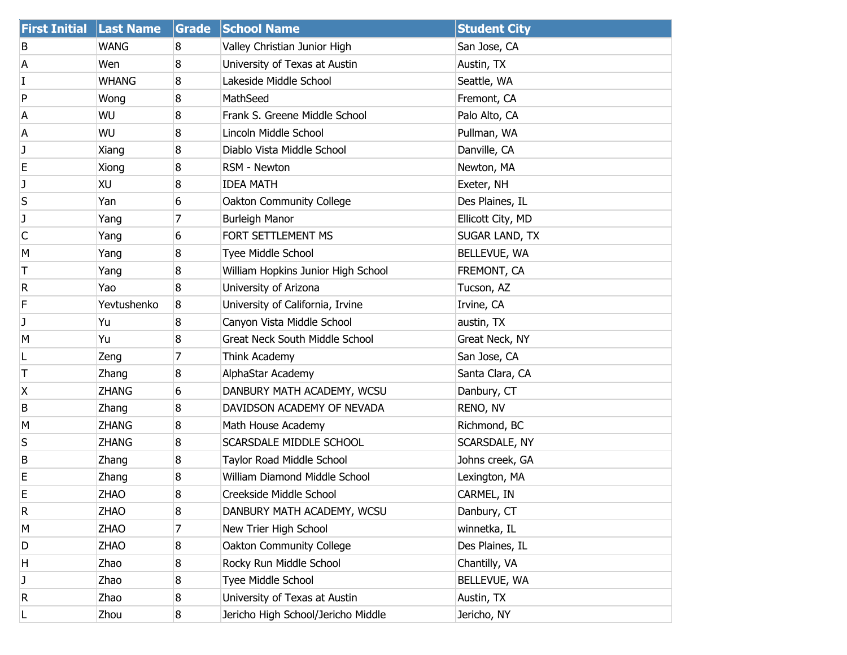| <b>First Initial</b> | <b>Last Name</b> | Grade | <b>School Name</b>                    | <b>Student City</b> |
|----------------------|------------------|-------|---------------------------------------|---------------------|
| B                    | <b>WANG</b>      | 8     | Valley Christian Junior High          | San Jose, CA        |
| А                    | Wen              | 8     | University of Texas at Austin         | Austin, TX          |
| I                    | <b>WHANG</b>     | 8     | Lakeside Middle School                | Seattle, WA         |
| P                    | Wong             | 8     | MathSeed                              | Fremont, CA         |
| A                    | WU               | 8     | Frank S. Greene Middle School         | Palo Alto, CA       |
| A                    | WU               | 8     | Lincoln Middle School                 | Pullman, WA         |
| J                    | Xiang            | 8     | Diablo Vista Middle School            | Danville, CA        |
| Е                    | Xiong            | 8     | RSM - Newton                          | Newton, MA          |
| J                    | XU               | 8     | <b>IDEA MATH</b>                      | Exeter, NH          |
| S                    | Yan              | 6     | Oakton Community College              | Des Plaines, IL     |
| J                    | Yang             | 7     | <b>Burleigh Manor</b>                 | Ellicott City, MD   |
| С                    | Yang             | 6     | FORT SETTLEMENT MS                    | SUGAR LAND, TX      |
| м                    | Yang             | 8     | Tyee Middle School                    | BELLEVUE, WA        |
| Τ                    | Yang             | 8     | William Hopkins Junior High School    | FREMONT, CA         |
| R                    | Yao              | 8     | University of Arizona                 | Tucson, AZ          |
| F                    | Yevtushenko      | 8     | University of California, Irvine      | Irvine, CA          |
| J                    | Yu               | 8     | Canyon Vista Middle School            | austin, TX          |
| M                    | Yu               | 8     | <b>Great Neck South Middle School</b> | Great Neck, NY      |
| L                    | Zeng             | 7     | Think Academy                         | San Jose, CA        |
| Т                    | Zhang            | 8     | AlphaStar Academy                     | Santa Clara, CA     |
| Χ                    | ZHANG            | 6     | DANBURY MATH ACADEMY, WCSU            | Danbury, CT         |
| В                    | Zhang            | 8     | DAVIDSON ACADEMY OF NEVADA            | RENO, NV            |
| M                    | <b>ZHANG</b>     | 8     | Math House Academy                    | Richmond, BC        |
| S                    | <b>ZHANG</b>     | 8     | SCARSDALE MIDDLE SCHOOL               | SCARSDALE, NY       |
| В                    | Zhang            | 8     | Taylor Road Middle School             | Johns creek, GA     |
| Е                    | Zhang            | 8     | William Diamond Middle School         | Lexington, MA       |
| E                    | <b>ZHAO</b>      | 8     | Creekside Middle School               | CARMEL, IN          |
| R                    | ZHAO             | 8     | DANBURY MATH ACADEMY, WCSU            | Danbury, CT         |
| M                    | <b>ZHAO</b>      | 7     | New Trier High School                 | winnetka, IL        |
| D                    | <b>ZHAO</b>      | 8     | Oakton Community College              | Des Plaines, IL     |
| Н                    | Zhao             | 8     | Rocky Run Middle School               | Chantilly, VA       |
| J                    | Zhao             | 8     | Tyee Middle School                    | BELLEVUE, WA        |
| R                    | Zhao             | 8     | University of Texas at Austin         | Austin, TX          |
| L                    | Zhou             | 8     | Jericho High School/Jericho Middle    | Jericho, NY         |